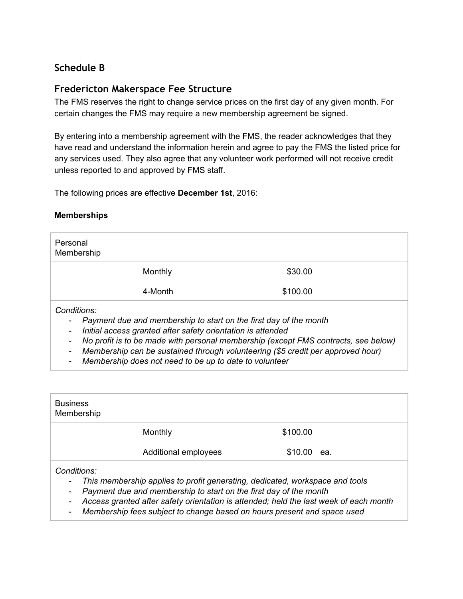# **Schedule B**

# **Fredericton Makerspace Fee Structure**

The FMS reserves the right to change service prices on the first day of any given month. For certain changes the FMS may require a new membership agreement be signed.

By entering into a membership agreement with the FMS, the reader acknowledges that they have read and understand the information herein and agree to pay the FMS the listed price for any services used. They also agree that any volunteer work performed will not receive credit unless reported to and approved by FMS staff.

The following prices are effective **December 1st**, 2016:

### **Memberships**

| Personal<br>Membership                                                           |         |          |  |
|----------------------------------------------------------------------------------|---------|----------|--|
|                                                                                  | Monthly | \$30.00  |  |
|                                                                                  | 4-Month | \$100.00 |  |
| Conditions:<br>Payment due and membership to start on the first day of the month |         |          |  |

- *- Initial access granted after safety orientation is attended*
- *- No profit is to be made with personal membership (except FMS contracts, see below)*
- *- Membership can be sustained through volunteering (\$5 credit per approved hour)*
- *- Membership does not need to be up to date to volunteer*

| <b>Business</b><br>Membership |                                                                                                                                                   |                |  |
|-------------------------------|---------------------------------------------------------------------------------------------------------------------------------------------------|----------------|--|
|                               | Monthly                                                                                                                                           | \$100.00       |  |
|                               | Additional employees                                                                                                                              | \$10.00<br>ea. |  |
| Conditions:<br>-              | This membership applies to profit generating, dedicated, workspace and tools<br>Payment due and membership to start on the first day of the month |                |  |

- *- Access granted after safety orientation is attended; held the last week of each month*
- *- Membership fees subject to change based on hours present and space used*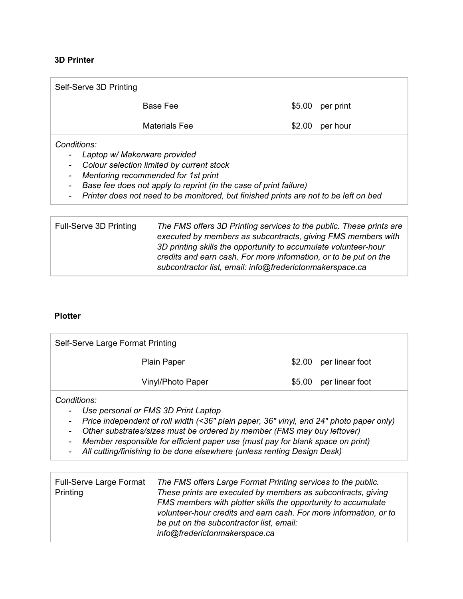#### **3D Printer**

| Self-Serve 3D Printing                                                                                                                                                                                                                                                                       |                     |
|----------------------------------------------------------------------------------------------------------------------------------------------------------------------------------------------------------------------------------------------------------------------------------------------|---------------------|
| Base Fee                                                                                                                                                                                                                                                                                     | \$5.00<br>per print |
| Materials Fee                                                                                                                                                                                                                                                                                | \$2.00<br>per hour  |
| Conditions:<br>Laptop w/ Makerware provided<br>Colour selection limited by current stock<br>Mentoring recommended for 1st print<br>Base fee does not apply to reprint (in the case of print failure)<br>Printer does not need to be monitored, but finished prints are not to be left on bed |                     |

Full-Serve 3D Printing *The FMS offers 3D Printing services to the public. These prints are executed by members as subcontracts, giving FMS members with 3D printing skills the opportunity to accumulate volunteer-hour credits and earn cash. For more information, or to be put on the subcontractor list, email: info@frederictonmakerspace.ca*

#### **Plotter**

| Self-Serve Large Format Printing |                        |
|----------------------------------|------------------------|
| <b>Plain Paper</b>               | \$2.00 per linear foot |
| Vinyl/Photo Paper                | \$5.00 per linear foot |
| Conditions:                      |                        |

- *- Use personal or FMS 3D Print Laptop*
- *- Price independent of roll width (<36" plain paper, 36" vinyl, and 24" photo paper only)*
- *- Other substrates/sizes must be ordered by member (FMS may buy leftover)*
- *- Member responsible for efficient paper use (must pay for blank space on print)*
- *- All cutting/finishing to be done elsewhere (unless renting Design Desk)*

| <b>Full-Serve Large Format</b><br>Printing | The FMS offers Large Format Printing services to the public.<br>These prints are executed by members as subcontracts, giving<br>FMS members with plotter skills the opportunity to accumulate<br>volunteer-hour credits and earn cash. For more information, or to<br>be put on the subcontractor list, email: |
|--------------------------------------------|----------------------------------------------------------------------------------------------------------------------------------------------------------------------------------------------------------------------------------------------------------------------------------------------------------------|
|                                            | info@frederictonmakerspace.ca                                                                                                                                                                                                                                                                                  |